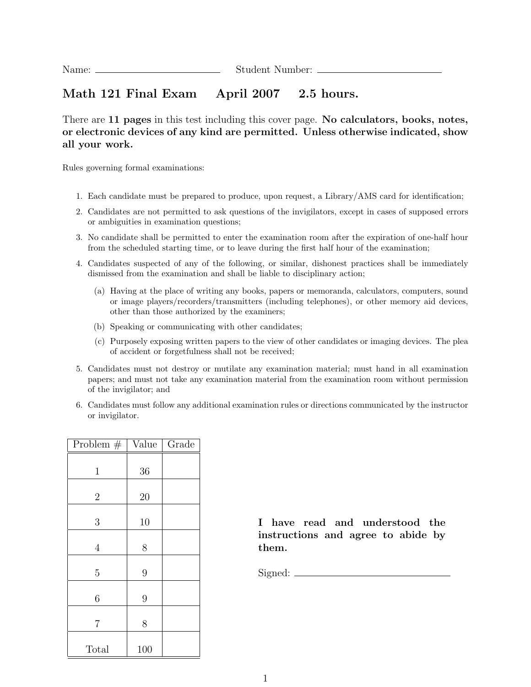## Math 121 Final Exam April 2007 2.5 hours.

There are 11 pages in this test including this cover page. No calculators, books, notes, or electronic devices of any kind are permitted. Unless otherwise indicated, show all your work.

Rules governing formal examinations:

- 1. Each candidate must be prepared to produce, upon request, a Library/AMS card for identification;
- 2. Candidates are not permitted to ask questions of the invigilators, except in cases of supposed errors or ambiguities in examination questions;
- 3. No candidate shall be permitted to enter the examination room after the expiration of one-half hour from the scheduled starting time, or to leave during the first half hour of the examination;
- 4. Candidates suspected of any of the following, or similar, dishonest practices shall be immediately dismissed from the examination and shall be liable to disciplinary action;
	- (a) Having at the place of writing any books, papers or memoranda, calculators, computers, sound or image players/recorders/transmitters (including telephones), or other memory aid devices, other than those authorized by the examiners;
	- (b) Speaking or communicating with other candidates;
	- (c) Purposely exposing written papers to the view of other candidates or imaging devices. The plea of accident or forgetfulness shall not be received;
- 5. Candidates must not destroy or mutilate any examination material; must hand in all examination papers; and must not take any examination material from the examination room without permission of the invigilator; and
- 6. Candidates must follow any additional examination rules or directions communicated by the instructor or invigilator.

| Problem $#$    | Value | Grade |
|----------------|-------|-------|
| $\mathbf 1$    | 36    |       |
| $\overline{2}$ | 20    |       |
| 3              | 10    |       |
| $\overline{4}$ | 8     |       |
| $\overline{5}$ | 9     |       |
| 6              | 9     |       |
| 7              | 8     |       |
| Total          | 100   |       |

I have read and understood the instructions and agree to abide by them.

Signed: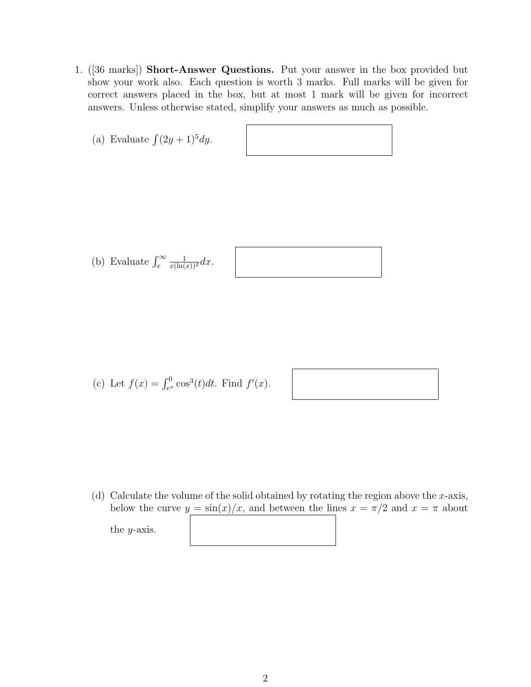1. ([36 marks]) Short-Answer Questions. Put your answer in the box provided but show your work also. Each question is worth 3 marks. Full marks will be given for correct answers placed in the box, but at most 1 mark will be given for incorrect answers. Unless otherwise stated, simplify your answers as much as possible.

| (a) Evaluate $\int (2y+1)^5 dy$ .                             |  |
|---------------------------------------------------------------|--|
|                                                               |  |
|                                                               |  |
| (b) Evaluate $\int_{e}^{\infty} \frac{1}{x(\ln(x))^{2}} dx$ . |  |

(c) Let 
$$
f(x) = \int_{e^x}^{0} \cos^3(t) dt
$$
. Find  $f'(x)$ .



(d) Calculate the volume of the solid obtained by rotating the region above the x-axis, below the curve  $y = \sin(x)/x$ , and between the lines  $x = \pi/2$  and  $x = \pi$  about the y-axis.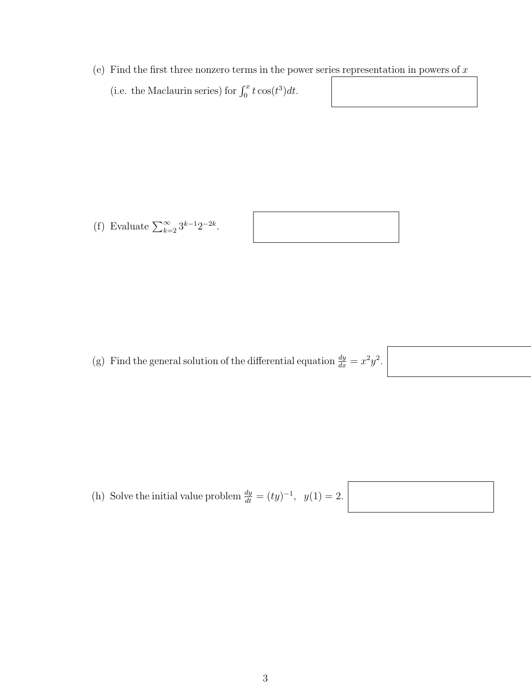(e) Find the first three nonzero terms in the power series representation in powers of  $x$ (i.e. the Maclaurin series) for  $\int_0^x t \cos(t^3) dt$ .

(f) Evaluate  $\sum_{k=2}^{\infty} 3^{k-1} 2^{-2k}$ .



(g) Find the general solution of the differential equation  $\frac{dy}{dx} = x^2 y^2$ .

(h) Solve the initial value problem  $\frac{dy}{dt} = (ty)^{-1}$ ,  $y(1) = 2$ .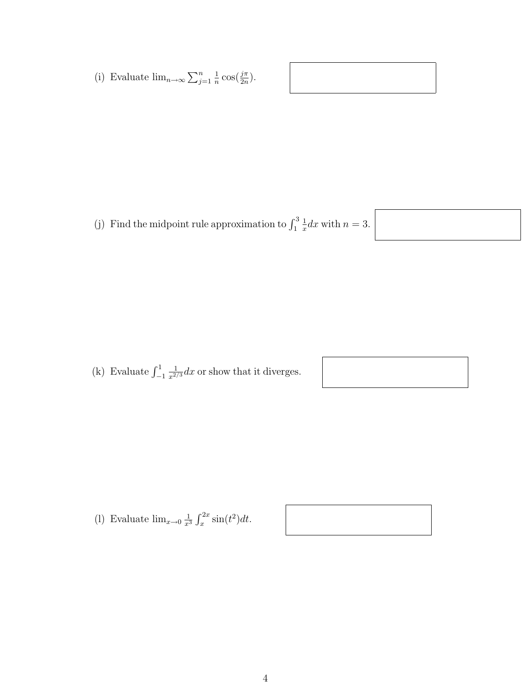(i) Evaluate  $\lim_{n\to\infty}\sum_{j=1}^n$ 1  $\frac{1}{n}\cos(\frac{j\pi}{2n}).$ 

(j) Find the midpoint rule approximation to  $\int_1^3$ 1  $\frac{1}{x}dx$  with  $n=3$ .



(k) Evaluate  $\int_{-1}^{1}$  $\frac{1}{x^{2/3}}dx$  or show that it diverges.

(1) Evaluate  $\lim_{x\to 0} \frac{1}{x^3}$  $rac{1}{x^3} \int_x^{2x} \sin(t^2) dt.$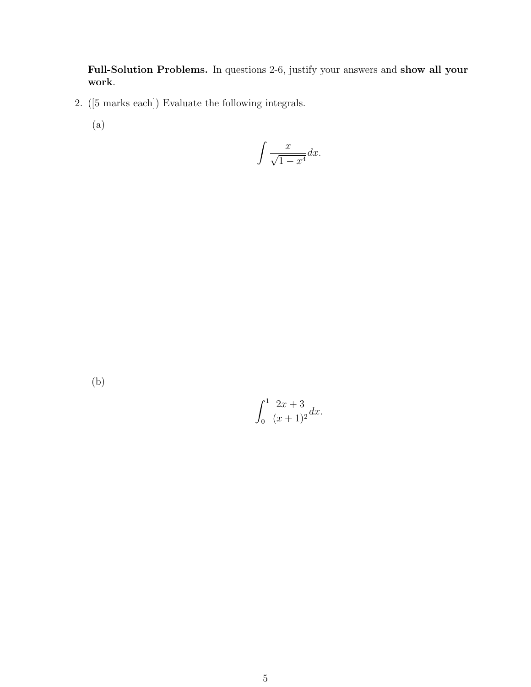Full-Solution Problems. In questions 2-6, justify your answers and show all your work.

- 2. ([5 marks each]) Evaluate the following integrals.
	- (a)

$$
\int \frac{x}{\sqrt{1-x^4}} dx.
$$

(b)

$$
\int_0^1 \frac{2x+3}{(x+1)^2} dx.
$$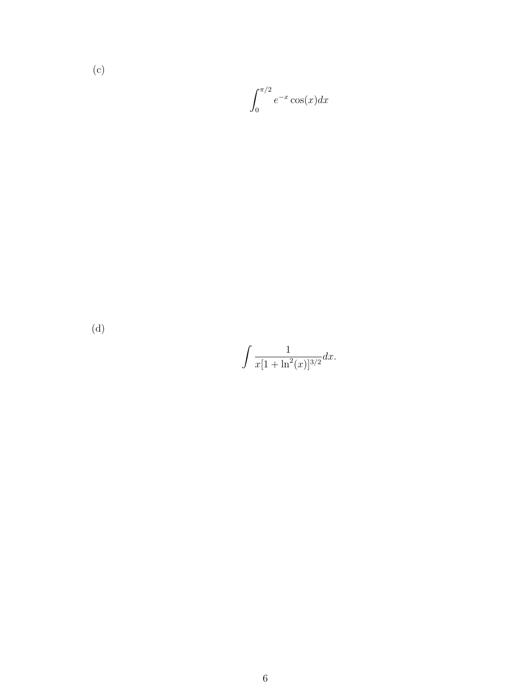(c)

$$
\int_0^{\pi/2} e^{-x} \cos(x) dx
$$

(d)

$$
\int \frac{1}{x[1+\ln^2(x)]^{3/2}} dx.
$$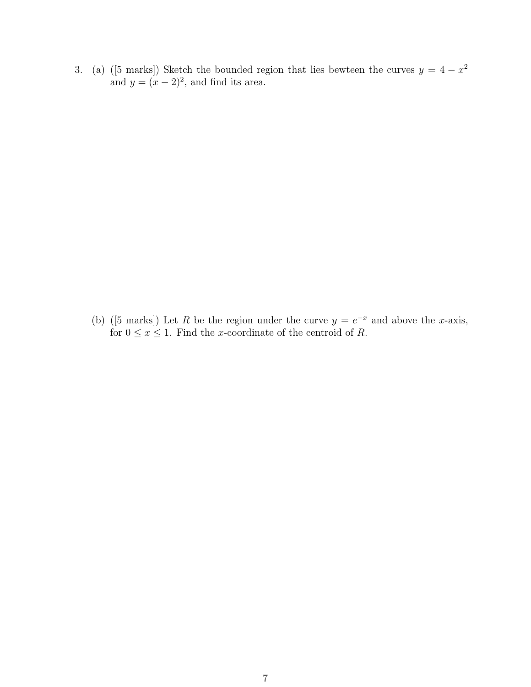3. (a) ([5 marks]) Sketch the bounded region that lies bewteen the curves  $y = 4 - x^2$ and  $y = (x - 2)^2$ , and find its area.

(b) ([5 marks]) Let R be the region under the curve  $y = e^{-x}$  and above the x-axis, for  $0 \le x \le 1$ . Find the x-coordinate of the centroid of R.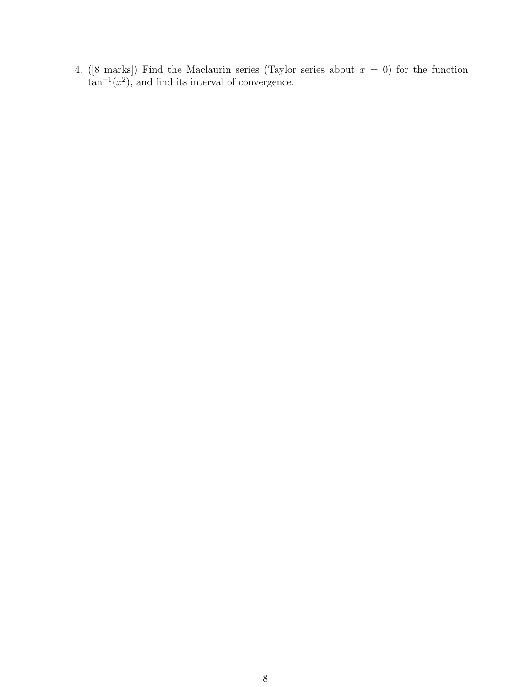4. ([8 marks]) Find the Maclaurin series (Taylor series about  $x = 0$ ) for the function  $\tan^{-1}(x^2)$ , and find its interval of convergence.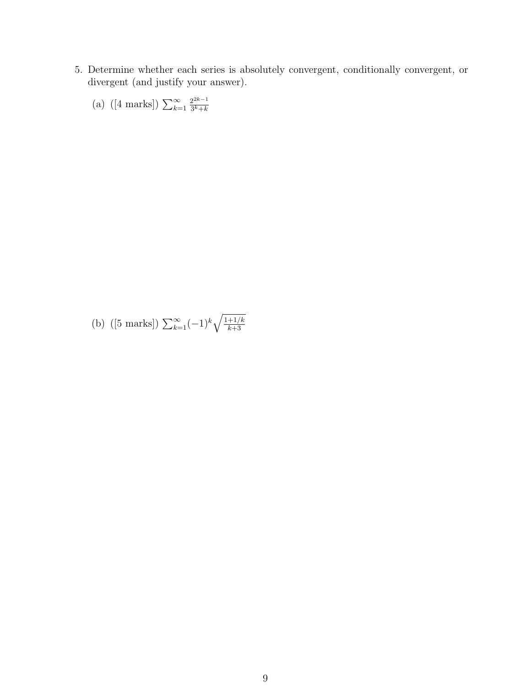5. Determine whether each series is absolutely convergent, conditionally convergent, or divergent (and justify your answer).

(a) ([4 marks]) 
$$
\sum_{k=1}^{\infty} \frac{2^{2k-1}}{3^k+k}
$$

(b) ([5 marks]) 
$$
\sum_{k=1}^{\infty} (-1)^k \sqrt{\frac{1+1/k}{k+3}}
$$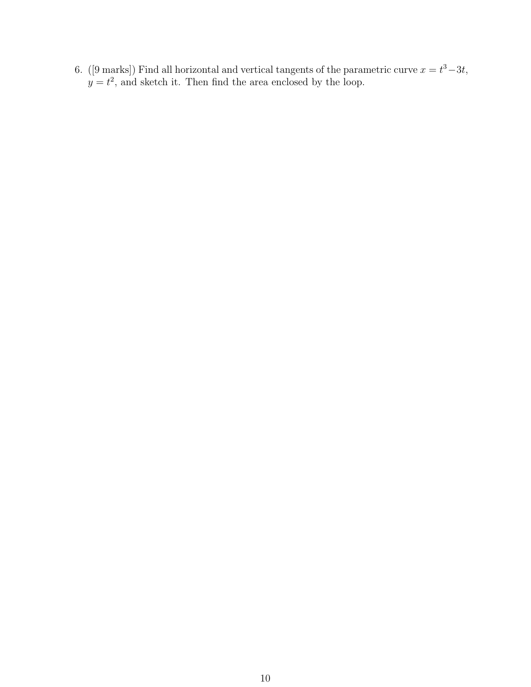6. ([9 marks]) Find all horizontal and vertical tangents of the parametric curve  $x = t^3 - 3t$ ,  $y = t<sup>2</sup>$ , and sketch it. Then find the area enclosed by the loop.